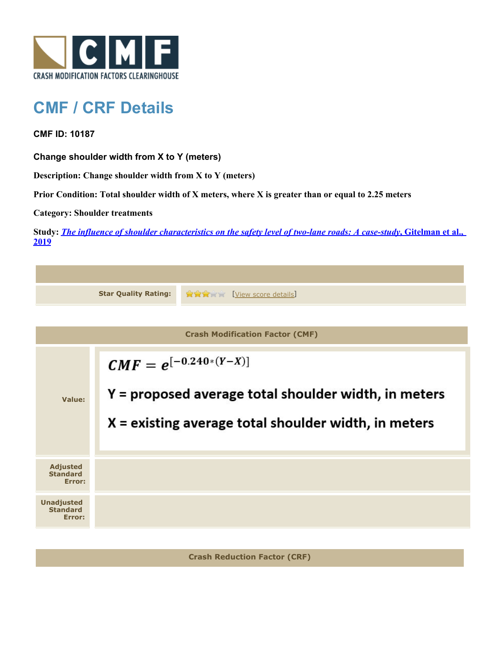

## **CMF / CRF Details**

**CMF ID: 10187**

**Change shoulder width from X to Y (meters)**

**Description: Change shoulder width from X to Y (meters)**

**Prior Condition: Total shoulder width of X meters, where X is greater than or equal to 2.25 meters**

**Category: Shoulder treatments**

**Study:** *[The influence of shoulder characteristics on the safety level of two-lane roads: A case-study](http://www.cmfclearinghouse.org/study_detail.cfm?stid=584)***[, Gitelman et al.,](http://www.cmfclearinghouse.org/study_detail.cfm?stid=584) [2019](http://www.cmfclearinghouse.org/study_detail.cfm?stid=584)**

| <b>Star Quality Rating:</b>                    |                                                                                                                                              | <b>TYPE [View score details]</b> |  |  |
|------------------------------------------------|----------------------------------------------------------------------------------------------------------------------------------------------|----------------------------------|--|--|
|                                                |                                                                                                                                              |                                  |  |  |
| <b>Crash Modification Factor (CMF)</b>         |                                                                                                                                              |                                  |  |  |
| Value:                                         | $CMF = e^{[-0.240*(Y-X)]}$<br>Y = proposed average total shoulder width, in meters<br>$X =$ existing average total shoulder width, in meters |                                  |  |  |
| <b>Adjusted</b><br><b>Standard</b><br>Error:   |                                                                                                                                              |                                  |  |  |
| <b>Unadjusted</b><br><b>Standard</b><br>Error: |                                                                                                                                              |                                  |  |  |
|                                                |                                                                                                                                              |                                  |  |  |

**Crash Reduction Factor (CRF)**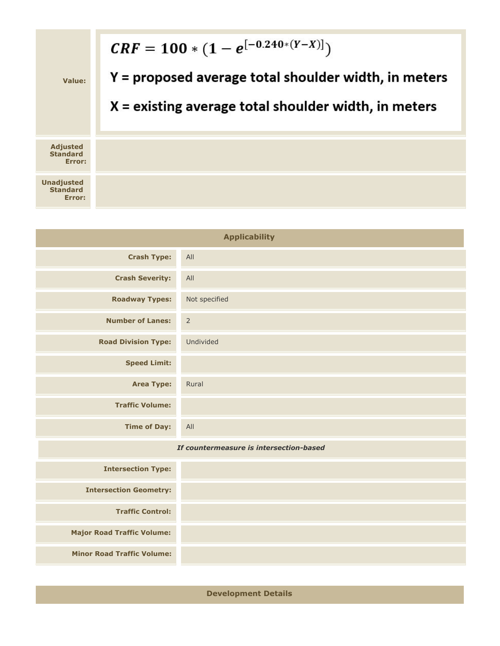

| <b>Applicability</b>                    |                |  |  |  |
|-----------------------------------------|----------------|--|--|--|
| <b>Crash Type:</b>                      | All            |  |  |  |
| <b>Crash Severity:</b>                  | All            |  |  |  |
| <b>Roadway Types:</b>                   | Not specified  |  |  |  |
| <b>Number of Lanes:</b>                 | $\overline{2}$ |  |  |  |
| <b>Road Division Type:</b>              | Undivided      |  |  |  |
| <b>Speed Limit:</b>                     |                |  |  |  |
| <b>Area Type:</b>                       | Rural          |  |  |  |
| <b>Traffic Volume:</b>                  |                |  |  |  |
| <b>Time of Day:</b>                     | All            |  |  |  |
| If countermeasure is intersection-based |                |  |  |  |
| <b>Intersection Type:</b>               |                |  |  |  |
| <b>Intersection Geometry:</b>           |                |  |  |  |
| <b>Traffic Control:</b>                 |                |  |  |  |

**Major Road Traffic Volume:**

**Minor Road Traffic Volume:**

**Development Details**